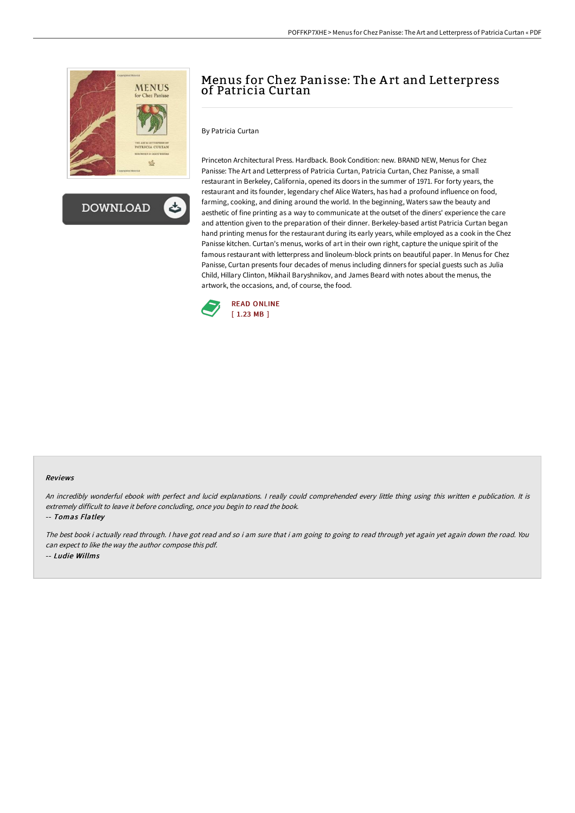

**DOWNLOAD** 

# Menus for Chez Panisse: The A rt and Letterpress of Patricia Curtan

By Patricia Curtan

Princeton Architectural Press. Hardback. Book Condition: new. BRAND NEW, Menus for Chez Panisse: The Art and Letterpress of Patricia Curtan, Patricia Curtan, Chez Panisse, a small restaurant in Berkeley, California, opened its doors in the summer of 1971. For forty years, the restaurant and its founder, legendary chef Alice Waters, has had a profound influence on food, farming, cooking, and dining around the world. In the beginning, Waters saw the beauty and aesthetic of fine printing as a way to communicate at the outset of the diners' experience the care and attention given to the preparation of their dinner. Berkeley-based artist Patricia Curtan began hand printing menus for the restaurant during its early years, while employed as a cook in the Chez Panisse kitchen. Curtan's menus, works of art in their own right, capture the unique spirit of the famous restaurant with letterpress and linoleum-block prints on beautiful paper. In Menus for Chez Panisse, Curtan presents four decades of menus including dinners for special guests such as Julia Child, Hillary Clinton, Mikhail Baryshnikov, and James Beard with notes about the menus, the artwork, the occasions, and, of course, the food.



#### Reviews

An incredibly wonderful ebook with perfect and lucid explanations. I really could comprehended every little thing using this written e publication. It is extremely difficult to leave it before concluding, once you begin to read the book.

-- Tomas Flatley

The best book i actually read through. I have got read and so i am sure that i am going to going to read through yet again yet again down the road. You can expect to like the way the author compose this pdf. -- Ludie Willms